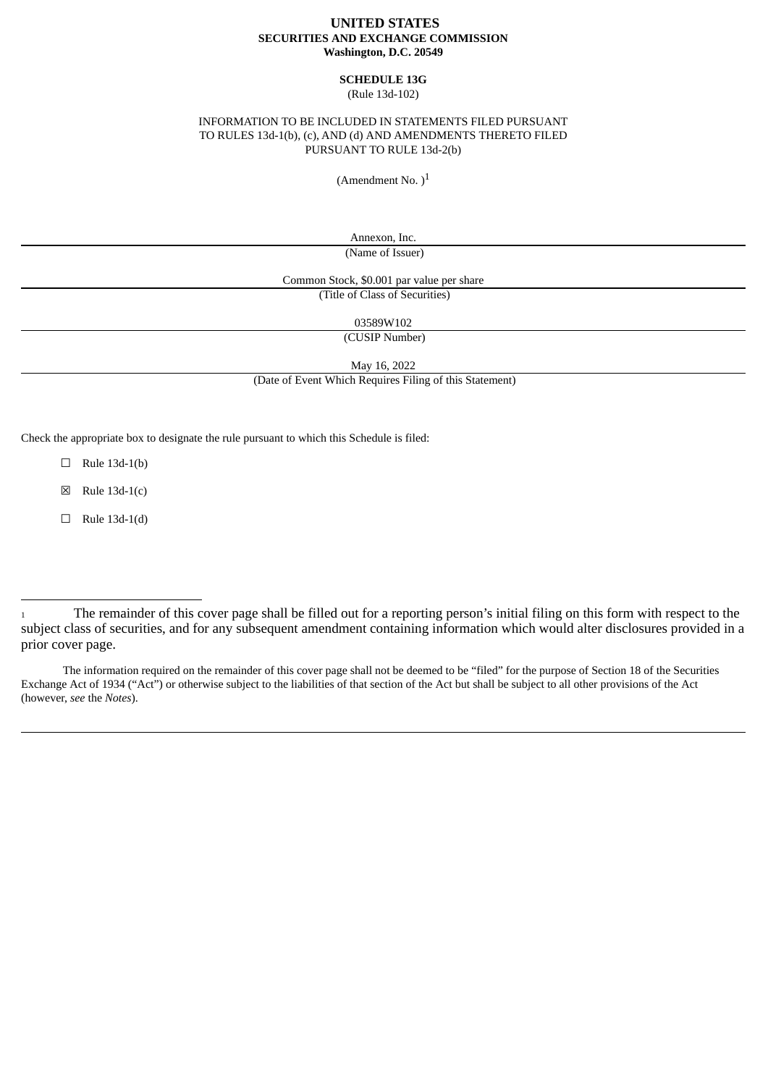## **UNITED STATES SECURITIES AND EXCHANGE COMMISSION Washington, D.C. 20549**

## **SCHEDULE 13G** (Rule 13d-102)

## INFORMATION TO BE INCLUDED IN STATEMENTS FILED PURSUANT TO RULES 13d-1(b), (c), AND (d) AND AMENDMENTS THERETO FILED PURSUANT TO RULE 13d-2(b)

(Amendment No.  $)^1$ 

Annexon, Inc. (Name of Issuer)

Common Stock, \$0.001 par value per share (Title of Class of Securities)

03589W102

(CUSIP Number)

May 16, 2022

(Date of Event Which Requires Filing of this Statement)

Check the appropriate box to designate the rule pursuant to which this Schedule is filed:

 $\Box$  Rule 13d-1(b)

 $\boxtimes$  Rule 13d-1(c)

 $\Box$  Rule 13d-1(d)

The information required on the remainder of this cover page shall not be deemed to be "filed" for the purpose of Section 18 of the Securities Exchange Act of 1934 ("Act") or otherwise subject to the liabilities of that section of the Act but shall be subject to all other provisions of the Act (however, *see* the *Notes*).

<sup>1</sup> The remainder of this cover page shall be filled out for a reporting person's initial filing on this form with respect to the subject class of securities, and for any subsequent amendment containing information which would alter disclosures provided in a prior cover page.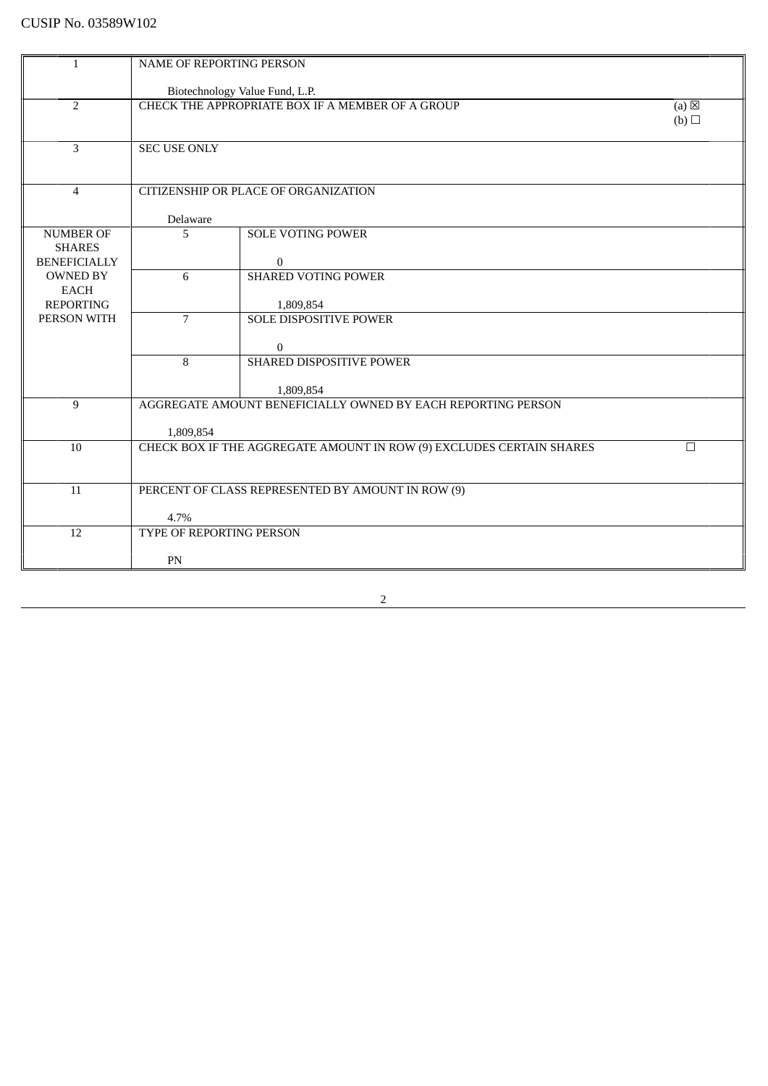| $\mathbf{1}$                      | NAME OF REPORTING PERSON |                                                                           |                 |
|-----------------------------------|--------------------------|---------------------------------------------------------------------------|-----------------|
|                                   |                          | Biotechnology Value Fund, L.P.                                            |                 |
| $\overline{2}$                    |                          | CHECK THE APPROPRIATE BOX IF A MEMBER OF A GROUP                          | $(a) \boxtimes$ |
|                                   |                          |                                                                           | (b)             |
| 3                                 | <b>SEC USE ONLY</b>      |                                                                           |                 |
|                                   |                          |                                                                           |                 |
|                                   |                          |                                                                           |                 |
| $\overline{4}$                    |                          | CITIZENSHIP OR PLACE OF ORGANIZATION                                      |                 |
|                                   | Delaware                 |                                                                           |                 |
| <b>NUMBER OF</b><br><b>SHARES</b> | 5                        | <b>SOLE VOTING POWER</b>                                                  |                 |
| <b>BENEFICIALLY</b>               |                          | $\mathbf{0}$                                                              |                 |
| <b>OWNED BY</b>                   | 6                        | <b>SHARED VOTING POWER</b>                                                |                 |
| <b>EACH</b><br><b>REPORTING</b>   |                          | 1,809,854                                                                 |                 |
| PERSON WITH                       | $\overline{7}$           | <b>SOLE DISPOSITIVE POWER</b>                                             |                 |
|                                   |                          |                                                                           |                 |
|                                   | 8                        | $\mathbf{0}$<br>SHARED DISPOSITIVE POWER                                  |                 |
|                                   |                          |                                                                           |                 |
| 9                                 |                          | 1,809,854<br>AGGREGATE AMOUNT BENEFICIALLY OWNED BY EACH REPORTING PERSON |                 |
|                                   |                          |                                                                           |                 |
|                                   | 1,809,854                |                                                                           |                 |
| 10                                |                          | CHECK BOX IF THE AGGREGATE AMOUNT IN ROW (9) EXCLUDES CERTAIN SHARES      | $\Box$          |
|                                   |                          |                                                                           |                 |
| 11                                |                          | PERCENT OF CLASS REPRESENTED BY AMOUNT IN ROW (9)                         |                 |
|                                   | 4.7%                     |                                                                           |                 |
| 12                                | TYPE OF REPORTING PERSON |                                                                           |                 |
|                                   | PN                       |                                                                           |                 |
|                                   |                          |                                                                           |                 |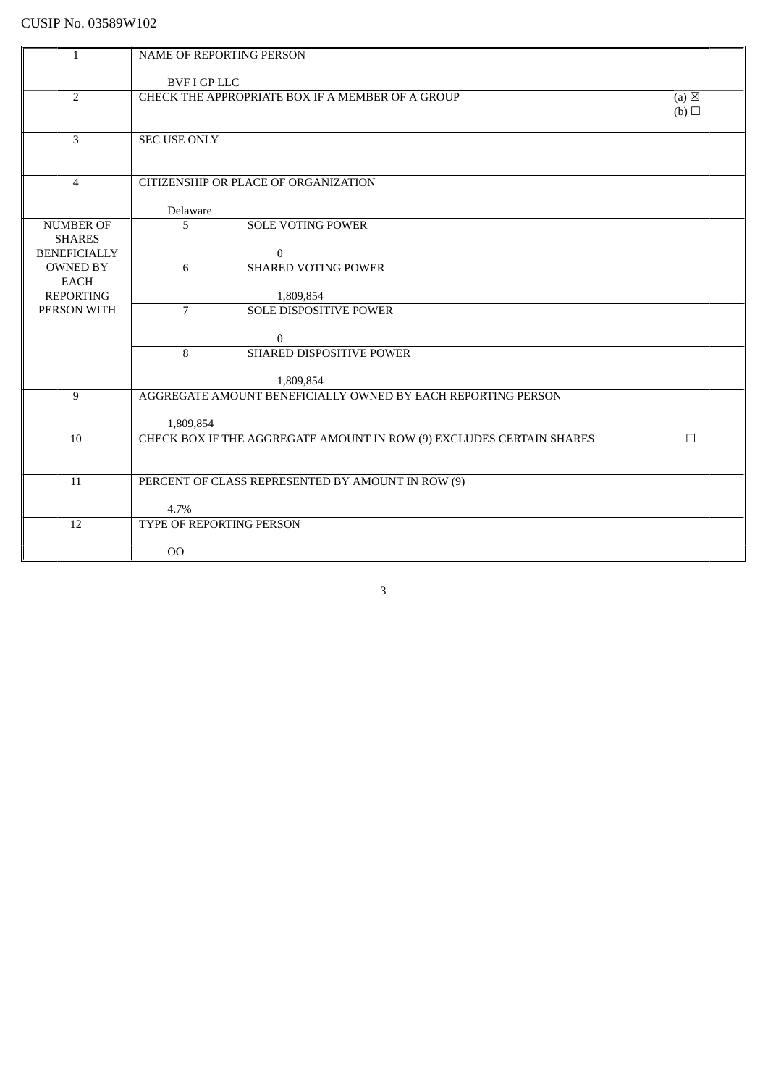| $\mathbf{1}$                    | NAME OF REPORTING PERSON        |                                                                      |                 |
|---------------------------------|---------------------------------|----------------------------------------------------------------------|-----------------|
|                                 |                                 |                                                                      |                 |
|                                 | <b>BVF I GP LLC</b>             |                                                                      |                 |
| $\overline{2}$                  |                                 | CHECK THE APPROPRIATE BOX IF A MEMBER OF A GROUP                     | $(a) \boxtimes$ |
|                                 |                                 |                                                                      | (b)             |
| $\overline{3}$                  | <b>SEC USE ONLY</b>             |                                                                      |                 |
|                                 |                                 |                                                                      |                 |
|                                 |                                 |                                                                      |                 |
| $\overline{4}$                  |                                 | CITIZENSHIP OR PLACE OF ORGANIZATION                                 |                 |
|                                 |                                 |                                                                      |                 |
|                                 | Delaware                        |                                                                      |                 |
| <b>NUMBER OF</b>                | 5                               | <b>SOLE VOTING POWER</b>                                             |                 |
| <b>SHARES</b>                   |                                 |                                                                      |                 |
| <b>BENEFICIALLY</b>             |                                 | $\bf{0}$                                                             |                 |
| <b>OWNED BY</b>                 | 6                               | <b>SHARED VOTING POWER</b>                                           |                 |
| <b>EACH</b><br><b>REPORTING</b> |                                 |                                                                      |                 |
| PERSON WITH                     | $\overline{7}$                  | 1,809,854<br>SOLE DISPOSITIVE POWER                                  |                 |
|                                 |                                 |                                                                      |                 |
|                                 |                                 | $\overline{0}$                                                       |                 |
|                                 | 8                               | <b>SHARED DISPOSITIVE POWER</b>                                      |                 |
|                                 |                                 |                                                                      |                 |
|                                 |                                 | 1,809,854                                                            |                 |
| 9                               |                                 | AGGREGATE AMOUNT BENEFICIALLY OWNED BY EACH REPORTING PERSON         |                 |
|                                 |                                 |                                                                      |                 |
|                                 | 1,809,854                       |                                                                      |                 |
| 10                              |                                 | CHECK BOX IF THE AGGREGATE AMOUNT IN ROW (9) EXCLUDES CERTAIN SHARES | $\Box$          |
|                                 |                                 |                                                                      |                 |
| 11                              |                                 | PERCENT OF CLASS REPRESENTED BY AMOUNT IN ROW (9)                    |                 |
|                                 |                                 |                                                                      |                 |
|                                 | 4.7%                            |                                                                      |                 |
| 12                              | <b>TYPE OF REPORTING PERSON</b> |                                                                      |                 |
|                                 |                                 |                                                                      |                 |
|                                 | 00                              |                                                                      |                 |
|                                 |                                 |                                                                      |                 |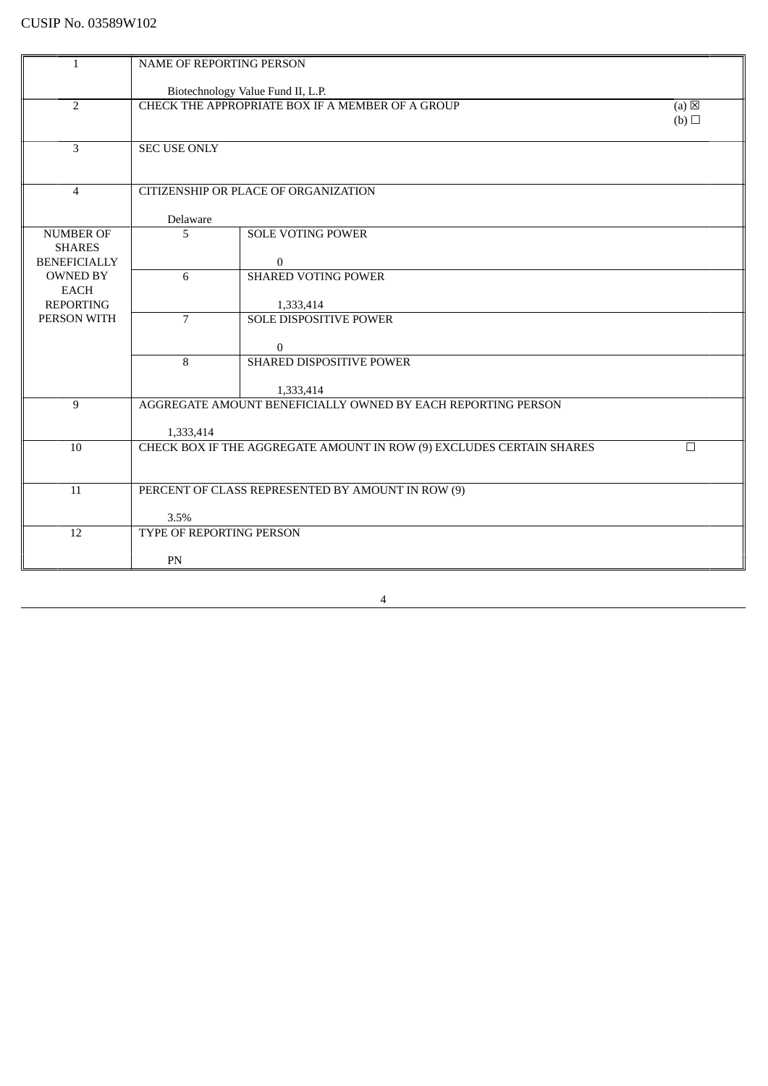| $\mathbf{1}$                                             | NAME OF REPORTING PERSON |                                                                           |                        |
|----------------------------------------------------------|--------------------------|---------------------------------------------------------------------------|------------------------|
|                                                          |                          | Biotechnology Value Fund II, L.P.                                         |                        |
| $\overline{2}$                                           |                          | CHECK THE APPROPRIATE BOX IF A MEMBER OF A GROUP                          | $(a) \boxtimes$<br>(b) |
| 3                                                        | <b>SEC USE ONLY</b>      |                                                                           |                        |
| $\overline{4}$                                           |                          | CITIZENSHIP OR PLACE OF ORGANIZATION                                      |                        |
|                                                          | Delaware                 |                                                                           |                        |
| <b>NUMBER OF</b><br><b>SHARES</b><br><b>BENEFICIALLY</b> | 5                        | <b>SOLE VOTING POWER</b><br>$\mathbf{0}$                                  |                        |
| <b>OWNED BY</b><br><b>EACH</b><br><b>REPORTING</b>       | 6                        | <b>SHARED VOTING POWER</b><br>1,333,414                                   |                        |
| PERSON WITH                                              | $\overline{7}$           | <b>SOLE DISPOSITIVE POWER</b><br>$\mathbf{0}$                             |                        |
|                                                          | 8                        | SHARED DISPOSITIVE POWER                                                  |                        |
| 9                                                        |                          | 1,333,414<br>AGGREGATE AMOUNT BENEFICIALLY OWNED BY EACH REPORTING PERSON |                        |
|                                                          | 1,333,414                |                                                                           |                        |
| 10                                                       |                          | CHECK BOX IF THE AGGREGATE AMOUNT IN ROW (9) EXCLUDES CERTAIN SHARES      | $\Box$                 |
| 11                                                       | 3.5%                     | PERCENT OF CLASS REPRESENTED BY AMOUNT IN ROW (9)                         |                        |
| 12                                                       | TYPE OF REPORTING PERSON |                                                                           |                        |
|                                                          | PN                       |                                                                           |                        |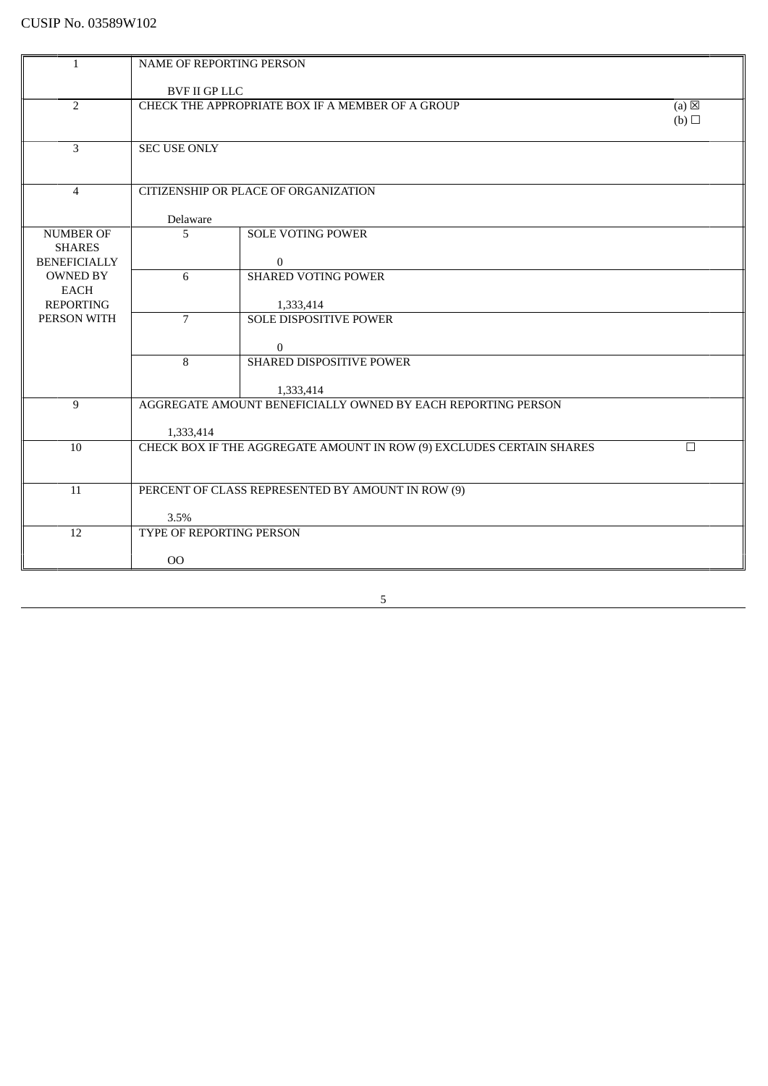| <b>NAME OF REPORTING PERSON</b><br>$\mathbf{1}$<br><b>BVF II GP LLC</b><br>$\overline{2}$<br>CHECK THE APPROPRIATE BOX IF A MEMBER OF A GROUP<br>$(a) \boxtimes$<br>(b)<br>3<br><b>SEC USE ONLY</b> |  |
|-----------------------------------------------------------------------------------------------------------------------------------------------------------------------------------------------------|--|
|                                                                                                                                                                                                     |  |
|                                                                                                                                                                                                     |  |
|                                                                                                                                                                                                     |  |
|                                                                                                                                                                                                     |  |
|                                                                                                                                                                                                     |  |
|                                                                                                                                                                                                     |  |
|                                                                                                                                                                                                     |  |
|                                                                                                                                                                                                     |  |
| CITIZENSHIP OR PLACE OF ORGANIZATION<br>$\overline{4}$                                                                                                                                              |  |
|                                                                                                                                                                                                     |  |
| Delaware                                                                                                                                                                                            |  |
| 5<br><b>SOLE VOTING POWER</b><br><b>NUMBER OF</b>                                                                                                                                                   |  |
| <b>SHARES</b>                                                                                                                                                                                       |  |
| <b>BENEFICIALLY</b><br>$\mathbf{0}$                                                                                                                                                                 |  |
| 6<br><b>SHARED VOTING POWER</b><br><b>OWNED BY</b>                                                                                                                                                  |  |
| <b>EACH</b>                                                                                                                                                                                         |  |
| <b>REPORTING</b><br>1,333,414                                                                                                                                                                       |  |
| PERSON WITH<br>$\overline{7}$<br><b>SOLE DISPOSITIVE POWER</b>                                                                                                                                      |  |
|                                                                                                                                                                                                     |  |
| $\bf{0}$                                                                                                                                                                                            |  |
| 8<br>SHARED DISPOSITIVE POWER                                                                                                                                                                       |  |
|                                                                                                                                                                                                     |  |
| 1,333,414                                                                                                                                                                                           |  |
| AGGREGATE AMOUNT BENEFICIALLY OWNED BY EACH REPORTING PERSON<br>9                                                                                                                                   |  |
| 1,333,414                                                                                                                                                                                           |  |
| CHECK BOX IF THE AGGREGATE AMOUNT IN ROW (9) EXCLUDES CERTAIN SHARES<br>10<br>$\Box$                                                                                                                |  |
|                                                                                                                                                                                                     |  |
|                                                                                                                                                                                                     |  |
| PERCENT OF CLASS REPRESENTED BY AMOUNT IN ROW (9)<br>11                                                                                                                                             |  |
|                                                                                                                                                                                                     |  |
| 3.5%                                                                                                                                                                                                |  |
| 12<br>TYPE OF REPORTING PERSON                                                                                                                                                                      |  |
|                                                                                                                                                                                                     |  |
| O <sub>O</sub>                                                                                                                                                                                      |  |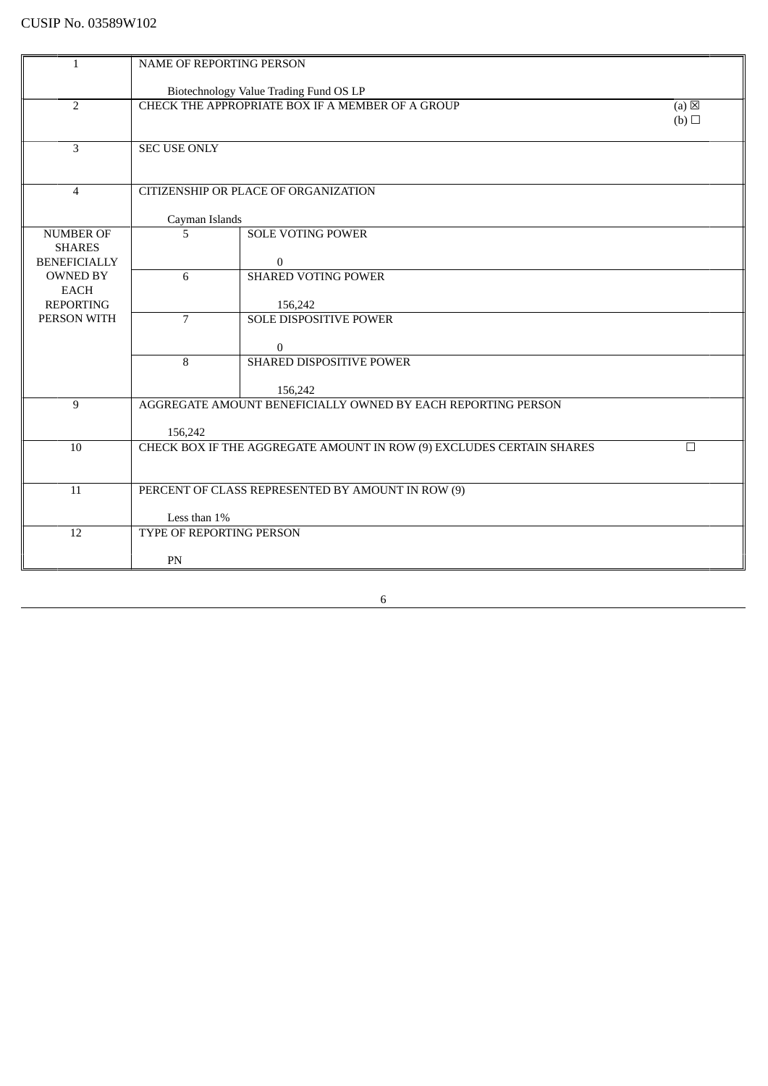| $\mathbf{1}$                         | <b>NAME OF REPORTING PERSON</b> |                                                                      |                 |  |  |
|--------------------------------------|---------------------------------|----------------------------------------------------------------------|-----------------|--|--|
|                                      |                                 | Biotechnology Value Trading Fund OS LP                               |                 |  |  |
| $\overline{2}$                       |                                 | CHECK THE APPROPRIATE BOX IF A MEMBER OF A GROUP                     | $(a) \boxtimes$ |  |  |
|                                      |                                 |                                                                      | (b)             |  |  |
| 3                                    | <b>SEC USE ONLY</b>             |                                                                      |                 |  |  |
|                                      |                                 |                                                                      |                 |  |  |
|                                      |                                 |                                                                      |                 |  |  |
| $\overline{4}$                       |                                 | CITIZENSHIP OR PLACE OF ORGANIZATION                                 |                 |  |  |
|                                      | Cayman Islands                  |                                                                      |                 |  |  |
| <b>NUMBER OF</b>                     | 5                               | <b>SOLE VOTING POWER</b>                                             |                 |  |  |
| <b>SHARES</b><br><b>BENEFICIALLY</b> |                                 | $\mathbf{0}$                                                         |                 |  |  |
| <b>OWNED BY</b>                      | 6                               | <b>SHARED VOTING POWER</b>                                           |                 |  |  |
| <b>EACH</b>                          |                                 |                                                                      |                 |  |  |
| <b>REPORTING</b><br>PERSON WITH      | $\overline{7}$                  | 156,242<br><b>SOLE DISPOSITIVE POWER</b>                             |                 |  |  |
|                                      |                                 |                                                                      |                 |  |  |
|                                      |                                 | $\mathbf{0}$                                                         |                 |  |  |
|                                      | 8                               | SHARED DISPOSITIVE POWER                                             |                 |  |  |
|                                      |                                 | 156,242                                                              |                 |  |  |
| 9                                    |                                 | AGGREGATE AMOUNT BENEFICIALLY OWNED BY EACH REPORTING PERSON         |                 |  |  |
|                                      | 156,242                         |                                                                      |                 |  |  |
| 10                                   |                                 | CHECK BOX IF THE AGGREGATE AMOUNT IN ROW (9) EXCLUDES CERTAIN SHARES | $\Box$          |  |  |
|                                      |                                 |                                                                      |                 |  |  |
| 11                                   |                                 | PERCENT OF CLASS REPRESENTED BY AMOUNT IN ROW (9)                    |                 |  |  |
|                                      |                                 |                                                                      |                 |  |  |
| 12                                   | Less than 1%                    |                                                                      |                 |  |  |
|                                      | TYPE OF REPORTING PERSON        |                                                                      |                 |  |  |
|                                      | PN                              |                                                                      |                 |  |  |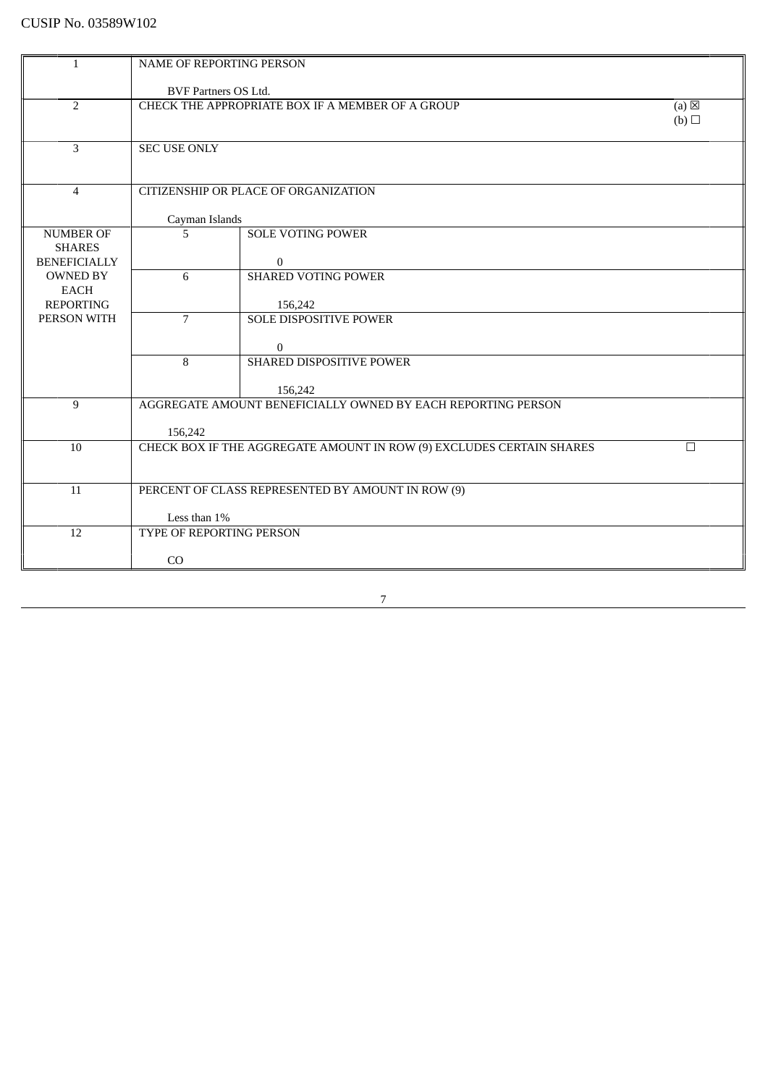| $\mathbf{1}$                         | <b>NAME OF REPORTING PERSON</b> |                                                                      |                 |
|--------------------------------------|---------------------------------|----------------------------------------------------------------------|-----------------|
|                                      | BVF Partners OS Ltd.            |                                                                      |                 |
| $\overline{2}$                       |                                 | CHECK THE APPROPRIATE BOX IF A MEMBER OF A GROUP                     | $(a) \boxtimes$ |
|                                      |                                 |                                                                      | (b)             |
|                                      |                                 |                                                                      |                 |
| 3                                    | <b>SEC USE ONLY</b>             |                                                                      |                 |
|                                      |                                 |                                                                      |                 |
| $\overline{4}$                       |                                 | CITIZENSHIP OR PLACE OF ORGANIZATION                                 |                 |
|                                      | Cayman Islands                  |                                                                      |                 |
| <b>NUMBER OF</b>                     | 5                               | <b>SOLE VOTING POWER</b>                                             |                 |
| <b>SHARES</b><br><b>BENEFICIALLY</b> |                                 | $\mathbf{0}$                                                         |                 |
| <b>OWNED BY</b>                      | 6                               | <b>SHARED VOTING POWER</b>                                           |                 |
| <b>EACH</b>                          |                                 |                                                                      |                 |
| <b>REPORTING</b><br>PERSON WITH      | $\overline{7}$                  | 156,242<br><b>SOLE DISPOSITIVE POWER</b>                             |                 |
|                                      |                                 |                                                                      |                 |
|                                      |                                 | $\mathbf{0}$                                                         |                 |
|                                      | 8                               | SHARED DISPOSITIVE POWER                                             |                 |
|                                      |                                 | 156,242                                                              |                 |
| 9                                    |                                 | AGGREGATE AMOUNT BENEFICIALLY OWNED BY EACH REPORTING PERSON         |                 |
|                                      | 156,242                         |                                                                      |                 |
| 10                                   |                                 | CHECK BOX IF THE AGGREGATE AMOUNT IN ROW (9) EXCLUDES CERTAIN SHARES | $\Box$          |
|                                      |                                 |                                                                      |                 |
| 11                                   |                                 | PERCENT OF CLASS REPRESENTED BY AMOUNT IN ROW (9)                    |                 |
|                                      |                                 |                                                                      |                 |
|                                      | Less than 1%                    |                                                                      |                 |
| 12                                   | TYPE OF REPORTING PERSON        |                                                                      |                 |
|                                      | CO                              |                                                                      |                 |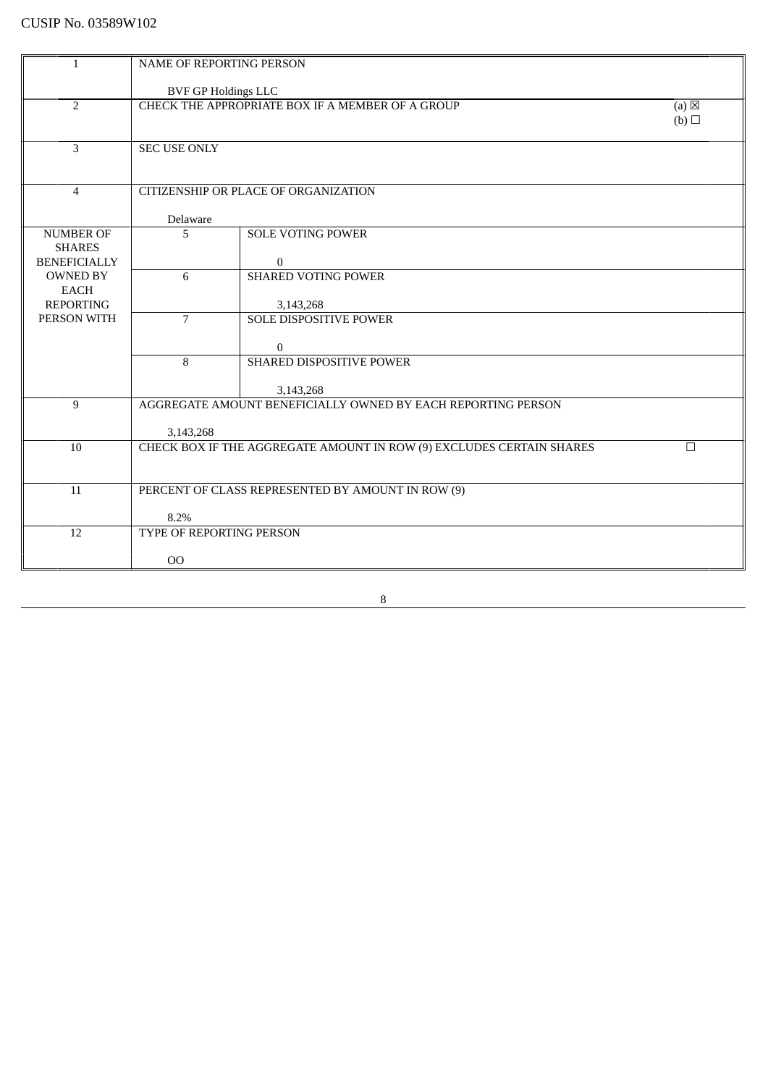| $\mathbf{1}$                      | <b>NAME OF REPORTING PERSON</b> |                                                                           |                 |
|-----------------------------------|---------------------------------|---------------------------------------------------------------------------|-----------------|
|                                   | <b>BVF GP Holdings LLC</b>      |                                                                           |                 |
| $\overline{2}$                    |                                 | CHECK THE APPROPRIATE BOX IF A MEMBER OF A GROUP                          | $(a) \boxtimes$ |
|                                   |                                 |                                                                           | (b)             |
| 3                                 | <b>SEC USE ONLY</b>             |                                                                           |                 |
|                                   |                                 |                                                                           |                 |
|                                   |                                 |                                                                           |                 |
| $\overline{4}$                    |                                 | CITIZENSHIP OR PLACE OF ORGANIZATION                                      |                 |
|                                   | Delaware                        |                                                                           |                 |
| <b>NUMBER OF</b><br><b>SHARES</b> | 5                               | <b>SOLE VOTING POWER</b>                                                  |                 |
| <b>BENEFICIALLY</b>               |                                 | $\mathbf{0}$                                                              |                 |
| <b>OWNED BY</b>                   | 6                               | <b>SHARED VOTING POWER</b>                                                |                 |
| <b>EACH</b><br><b>REPORTING</b>   |                                 | 3,143,268                                                                 |                 |
| PERSON WITH                       | $\overline{7}$                  | <b>SOLE DISPOSITIVE POWER</b>                                             |                 |
|                                   |                                 | $\mathbf{0}$                                                              |                 |
|                                   | 8                               | SHARED DISPOSITIVE POWER                                                  |                 |
|                                   |                                 |                                                                           |                 |
| $\overline{9}$                    |                                 | 3,143,268<br>AGGREGATE AMOUNT BENEFICIALLY OWNED BY EACH REPORTING PERSON |                 |
|                                   |                                 |                                                                           |                 |
| 10                                | 3,143,268                       | CHECK BOX IF THE AGGREGATE AMOUNT IN ROW (9) EXCLUDES CERTAIN SHARES      | $\Box$          |
|                                   |                                 |                                                                           |                 |
|                                   |                                 |                                                                           |                 |
| 11                                |                                 | PERCENT OF CLASS REPRESENTED BY AMOUNT IN ROW (9)                         |                 |
|                                   | 8.2%                            |                                                                           |                 |
| 12                                | TYPE OF REPORTING PERSON        |                                                                           |                 |
|                                   | 00                              |                                                                           |                 |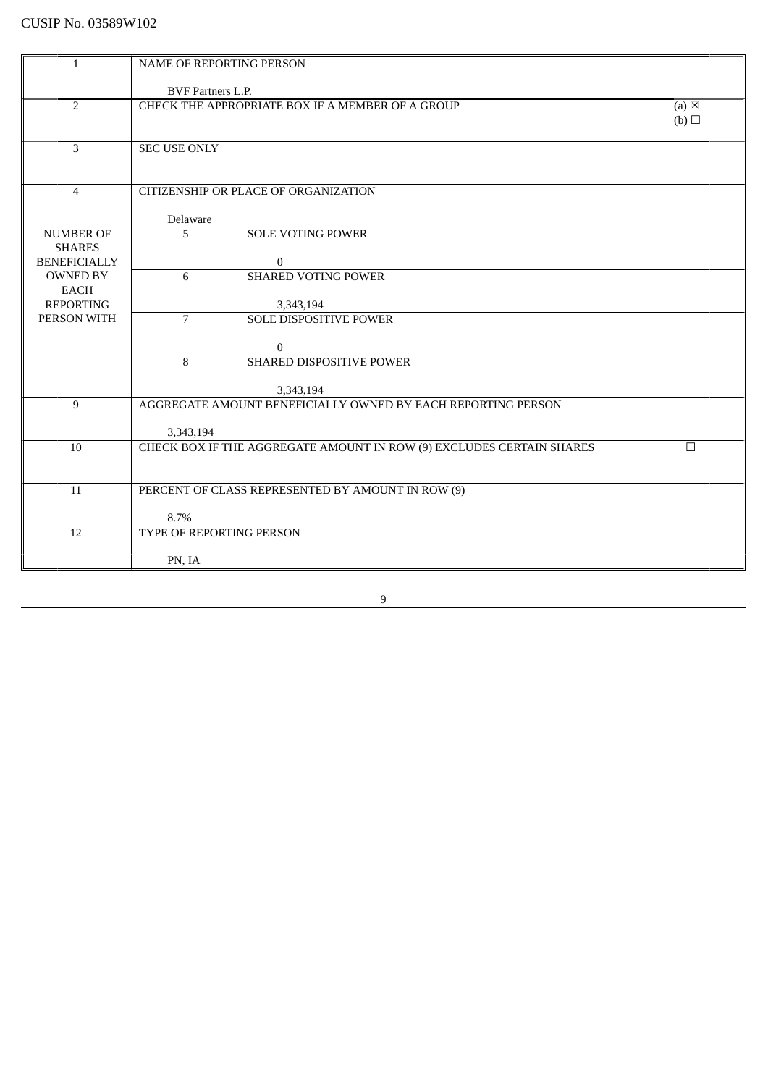| 1                   | <b>NAME OF REPORTING PERSON</b> |                                                                           |                 |
|---------------------|---------------------------------|---------------------------------------------------------------------------|-----------------|
|                     |                                 |                                                                           |                 |
|                     | <b>BVF Partners L.P.</b>        |                                                                           |                 |
| $\overline{2}$      |                                 | CHECK THE APPROPRIATE BOX IF A MEMBER OF A GROUP                          | $(a) \boxtimes$ |
|                     |                                 |                                                                           | (b)             |
|                     |                                 |                                                                           |                 |
| 3                   | <b>SEC USE ONLY</b>             |                                                                           |                 |
|                     |                                 |                                                                           |                 |
| $\overline{4}$      |                                 | CITIZENSHIP OR PLACE OF ORGANIZATION                                      |                 |
|                     |                                 |                                                                           |                 |
|                     | Delaware                        |                                                                           |                 |
| <b>NUMBER OF</b>    | $\overline{5}$                  | <b>SOLE VOTING POWER</b>                                                  |                 |
| <b>SHARES</b>       |                                 |                                                                           |                 |
| <b>BENEFICIALLY</b> |                                 | $\overline{0}$                                                            |                 |
| <b>OWNED BY</b>     | 6                               | <b>SHARED VOTING POWER</b>                                                |                 |
| <b>EACH</b>         |                                 |                                                                           |                 |
| <b>REPORTING</b>    |                                 | 3,343,194                                                                 |                 |
| PERSON WITH         | $\overline{7}$                  | <b>SOLE DISPOSITIVE POWER</b>                                             |                 |
|                     |                                 |                                                                           |                 |
|                     |                                 | $\bf{0}$                                                                  |                 |
|                     | 8                               | SHARED DISPOSITIVE POWER                                                  |                 |
|                     |                                 |                                                                           |                 |
| 9                   |                                 | 3,343,194<br>AGGREGATE AMOUNT BENEFICIALLY OWNED BY EACH REPORTING PERSON |                 |
|                     |                                 |                                                                           |                 |
|                     | 3,343,194                       |                                                                           |                 |
| 10                  |                                 | CHECK BOX IF THE AGGREGATE AMOUNT IN ROW (9) EXCLUDES CERTAIN SHARES      | $\Box$          |
|                     |                                 |                                                                           |                 |
|                     |                                 |                                                                           |                 |
| 11                  |                                 | PERCENT OF CLASS REPRESENTED BY AMOUNT IN ROW (9)                         |                 |
|                     |                                 |                                                                           |                 |
|                     | 8.7%                            |                                                                           |                 |
| 12                  | TYPE OF REPORTING PERSON        |                                                                           |                 |
|                     |                                 |                                                                           |                 |
|                     | PN, IA                          |                                                                           |                 |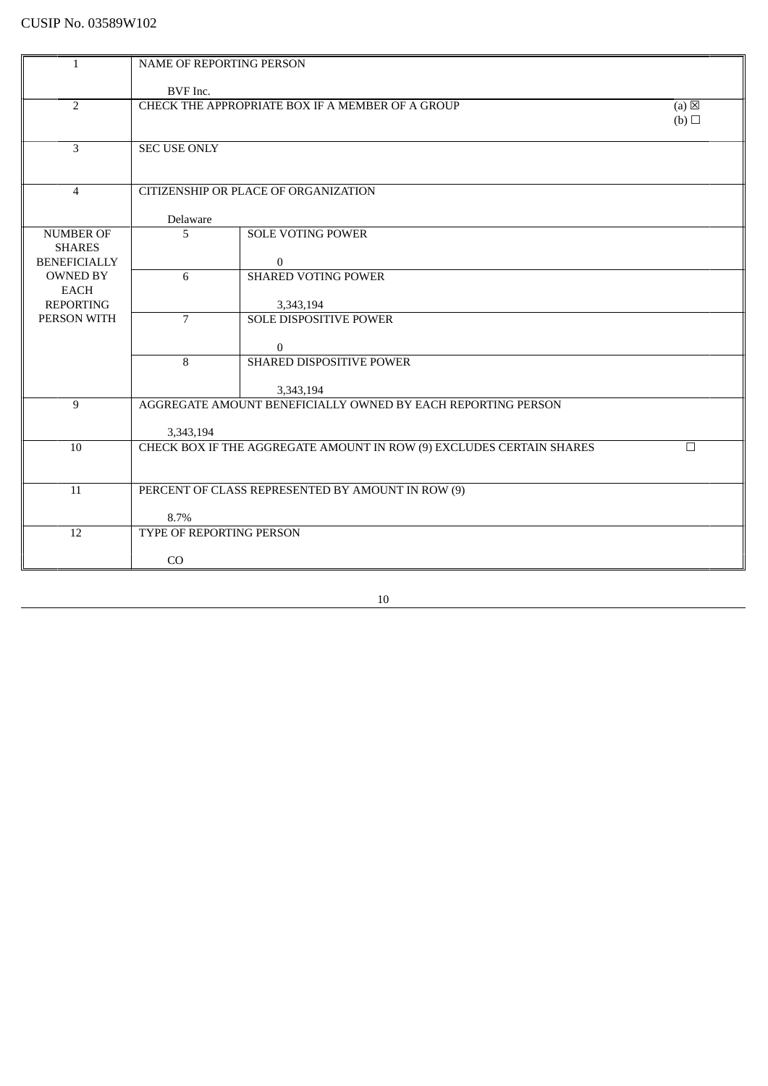|                                 | <b>NAME OF REPORTING PERSON</b> |                                                                      |                 |
|---------------------------------|---------------------------------|----------------------------------------------------------------------|-----------------|
| 1                               |                                 |                                                                      |                 |
|                                 | BVF Inc.                        |                                                                      |                 |
| $\overline{2}$                  |                                 | CHECK THE APPROPRIATE BOX IF A MEMBER OF A GROUP                     | $(a) \boxtimes$ |
|                                 |                                 |                                                                      | (b)             |
|                                 |                                 |                                                                      |                 |
| $\overline{3}$                  | <b>SEC USE ONLY</b>             |                                                                      |                 |
|                                 |                                 |                                                                      |                 |
|                                 |                                 |                                                                      |                 |
| $\overline{4}$                  |                                 | CITIZENSHIP OR PLACE OF ORGANIZATION                                 |                 |
|                                 | Delaware                        |                                                                      |                 |
| <b>NUMBER OF</b>                | 5                               | <b>SOLE VOTING POWER</b>                                             |                 |
| <b>SHARES</b>                   |                                 |                                                                      |                 |
| <b>BENEFICIALLY</b>             |                                 | $\mathbf{0}$                                                         |                 |
| <b>OWNED BY</b>                 | 6                               | <b>SHARED VOTING POWER</b>                                           |                 |
| EACH                            |                                 |                                                                      |                 |
| <b>REPORTING</b><br>PERSON WITH | $\overline{7}$                  | 3,343,194<br><b>SOLE DISPOSITIVE POWER</b>                           |                 |
|                                 |                                 |                                                                      |                 |
|                                 |                                 | $\overline{0}$                                                       |                 |
|                                 | 8                               | SHARED DISPOSITIVE POWER                                             |                 |
|                                 |                                 |                                                                      |                 |
|                                 |                                 | 3,343,194                                                            |                 |
| $\overline{9}$                  |                                 | AGGREGATE AMOUNT BENEFICIALLY OWNED BY EACH REPORTING PERSON         |                 |
|                                 | 3,343,194                       |                                                                      |                 |
| 10                              |                                 | CHECK BOX IF THE AGGREGATE AMOUNT IN ROW (9) EXCLUDES CERTAIN SHARES | П               |
|                                 |                                 |                                                                      |                 |
|                                 |                                 |                                                                      |                 |
| 11                              |                                 | PERCENT OF CLASS REPRESENTED BY AMOUNT IN ROW (9)                    |                 |
|                                 |                                 |                                                                      |                 |
|                                 | 8.7%                            |                                                                      |                 |
| 12                              | TYPE OF REPORTING PERSON        |                                                                      |                 |
|                                 | CO                              |                                                                      |                 |
|                                 |                                 |                                                                      |                 |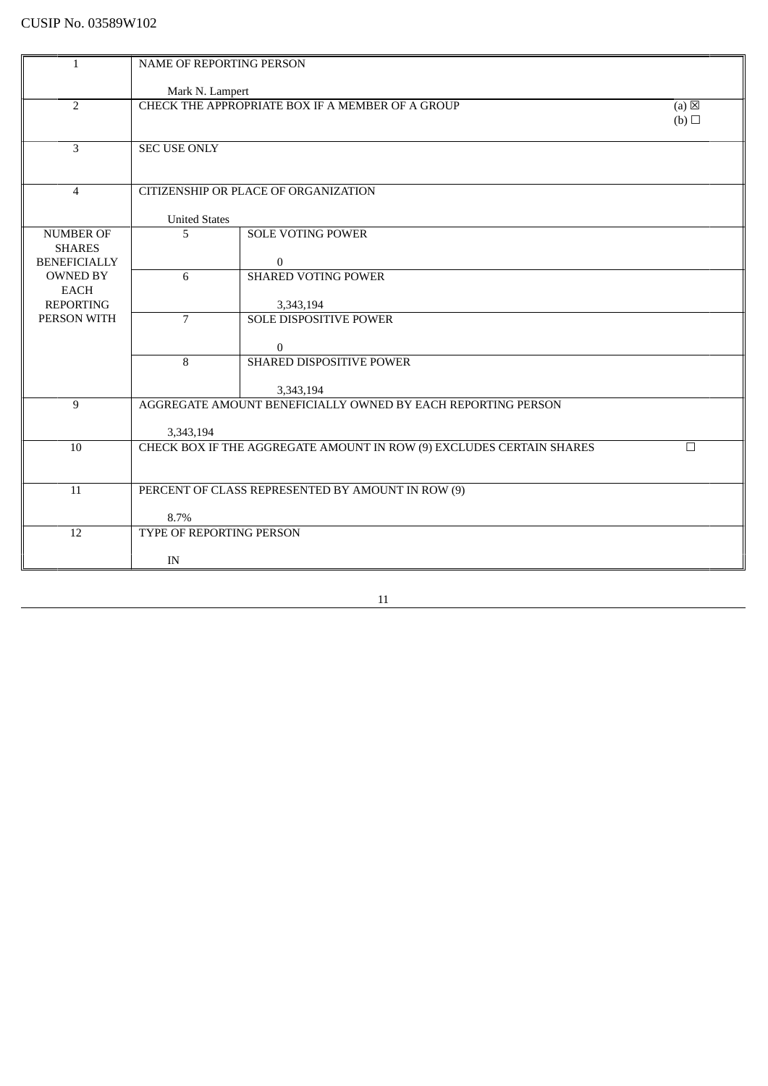| $\mathbf{1}$                           | NAME OF REPORTING PERSON |                                                                      |                        |
|----------------------------------------|--------------------------|----------------------------------------------------------------------|------------------------|
|                                        |                          |                                                                      |                        |
|                                        | Mark N. Lampert          |                                                                      |                        |
| 2                                      |                          | CHECK THE APPROPRIATE BOX IF A MEMBER OF A GROUP                     | $(a) \boxtimes$<br>(b) |
|                                        |                          |                                                                      |                        |
| $\overline{3}$                         | <b>SEC USE ONLY</b>      |                                                                      |                        |
|                                        |                          |                                                                      |                        |
|                                        |                          |                                                                      |                        |
| $\overline{4}$                         |                          | CITIZENSHIP OR PLACE OF ORGANIZATION                                 |                        |
|                                        | <b>United States</b>     |                                                                      |                        |
| <b>NUMBER OF</b>                       | 5                        | <b>SOLE VOTING POWER</b>                                             |                        |
| <b>SHARES</b>                          |                          |                                                                      |                        |
| <b>BENEFICIALLY</b><br><b>OWNED BY</b> | 6                        | $\overline{0}$<br><b>SHARED VOTING POWER</b>                         |                        |
| <b>EACH</b>                            |                          |                                                                      |                        |
| <b>REPORTING</b>                       |                          | 3,343,194                                                            |                        |
| PERSON WITH                            | $\overline{7}$           | <b>SOLE DISPOSITIVE POWER</b>                                        |                        |
|                                        |                          |                                                                      |                        |
|                                        | 8                        | $\overline{0}$<br><b>SHARED DISPOSITIVE POWER</b>                    |                        |
|                                        |                          |                                                                      |                        |
|                                        |                          | 3,343,194                                                            |                        |
| 9                                      |                          | AGGREGATE AMOUNT BENEFICIALLY OWNED BY EACH REPORTING PERSON         |                        |
|                                        |                          |                                                                      |                        |
| 10                                     | 3,343,194                | CHECK BOX IF THE AGGREGATE AMOUNT IN ROW (9) EXCLUDES CERTAIN SHARES | П                      |
|                                        |                          |                                                                      |                        |
|                                        |                          |                                                                      |                        |
| 11                                     |                          | PERCENT OF CLASS REPRESENTED BY AMOUNT IN ROW (9)                    |                        |
|                                        | 8.7%                     |                                                                      |                        |
| 12                                     | TYPE OF REPORTING PERSON |                                                                      |                        |
|                                        |                          |                                                                      |                        |
|                                        | IN                       |                                                                      |                        |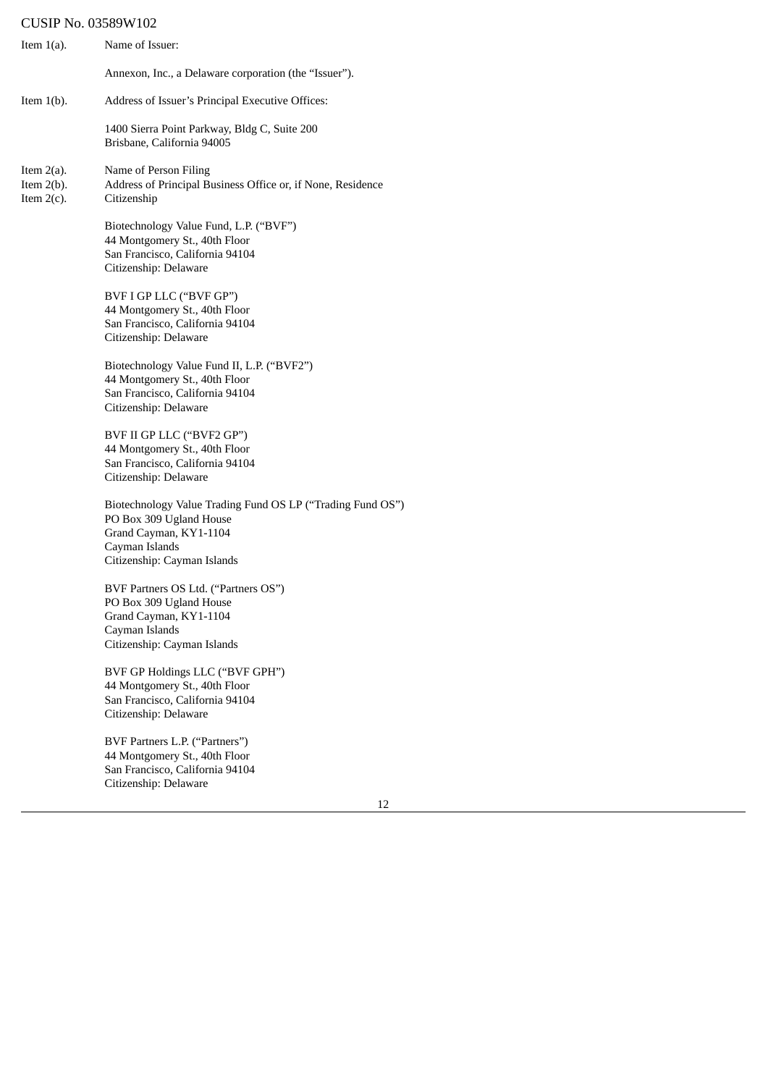| Item $1(a)$ .                                   | Name of Issuer:                                                                                                                                                  |
|-------------------------------------------------|------------------------------------------------------------------------------------------------------------------------------------------------------------------|
|                                                 | Annexon, Inc., a Delaware corporation (the "Issuer").                                                                                                            |
| Item $1(b)$ .                                   | Address of Issuer's Principal Executive Offices:                                                                                                                 |
|                                                 | 1400 Sierra Point Parkway, Bldg C, Suite 200<br>Brisbane, California 94005                                                                                       |
| Item $2(a)$ .<br>Item $2(b)$ .<br>Item $2(c)$ . | Name of Person Filing<br>Address of Principal Business Office or, if None, Residence<br>Citizenship                                                              |
|                                                 | Biotechnology Value Fund, L.P. ("BVF")<br>44 Montgomery St., 40th Floor<br>San Francisco, California 94104<br>Citizenship: Delaware                              |
|                                                 | BVF I GP LLC ("BVF GP")<br>44 Montgomery St., 40th Floor<br>San Francisco, California 94104<br>Citizenship: Delaware                                             |
|                                                 | Biotechnology Value Fund II, L.P. ("BVF2")<br>44 Montgomery St., 40th Floor<br>San Francisco, California 94104<br>Citizenship: Delaware                          |
|                                                 | BVF II GP LLC ("BVF2 GP")<br>44 Montgomery St., 40th Floor<br>San Francisco, California 94104<br>Citizenship: Delaware                                           |
|                                                 | Biotechnology Value Trading Fund OS LP ("Trading Fund OS")<br>PO Box 309 Ugland House<br>Grand Cayman, KY1-1104<br>Cayman Islands<br>Citizenship: Cayman Islands |
|                                                 | BVF Partners OS Ltd. ("Partners OS")<br>PO Box 309 Ugland House<br>Grand Cayman, KY1-1104<br>Cayman Islands<br>Citizenship: Cayman Islands                       |
|                                                 | BVF GP Holdings LLC ("BVF GPH")<br>44 Montgomery St., 40th Floor<br>San Francisco, California 94104<br>Citizenship: Delaware                                     |
|                                                 | BVF Partners L.P. ("Partners")<br>44 Montgomery St., 40th Floor<br>San Francisco, California 94104<br>Citizenship: Delaware                                      |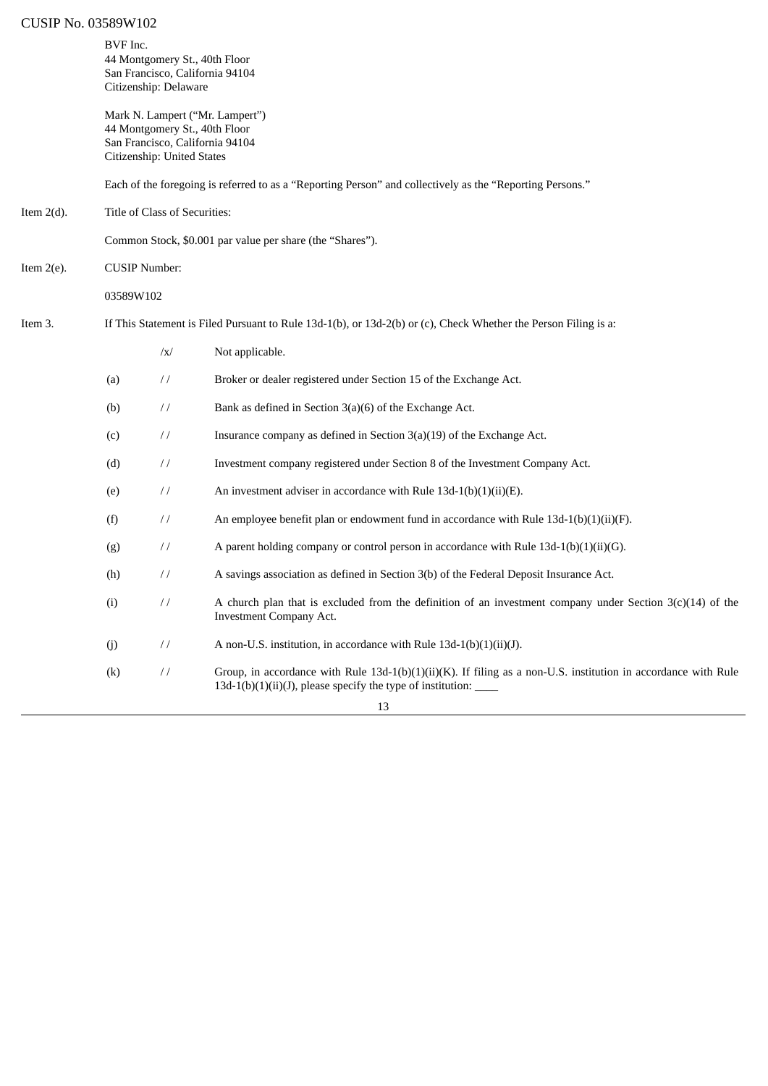|               | BVF Inc.  | Citizenship: Delaware         | 44 Montgomery St., 40th Floor<br>San Francisco, California 94104                                                                                                                              |
|---------------|-----------|-------------------------------|-----------------------------------------------------------------------------------------------------------------------------------------------------------------------------------------------|
|               |           | Citizenship: United States    | Mark N. Lampert ("Mr. Lampert")<br>44 Montgomery St., 40th Floor<br>San Francisco, California 94104                                                                                           |
|               |           |                               | Each of the foregoing is referred to as a "Reporting Person" and collectively as the "Reporting Persons."                                                                                     |
| Item $2(d)$ . |           | Title of Class of Securities: |                                                                                                                                                                                               |
|               |           |                               | Common Stock, \$0.001 par value per share (the "Shares").                                                                                                                                     |
| Item 2(e).    |           | <b>CUSIP Number:</b>          |                                                                                                                                                                                               |
|               | 03589W102 |                               |                                                                                                                                                                                               |
| Item 3.       |           |                               | If This Statement is Filed Pursuant to Rule 13d-1(b), or 13d-2(b) or (c), Check Whether the Person Filing is a:                                                                               |
|               |           | $\sqrt{x}$                    | Not applicable.                                                                                                                                                                               |
|               | (a)       | $\frac{1}{2}$                 | Broker or dealer registered under Section 15 of the Exchange Act.                                                                                                                             |
|               | (b)       | $\frac{1}{2}$                 | Bank as defined in Section $3(a)(6)$ of the Exchange Act.                                                                                                                                     |
|               | (c)       | $\frac{1}{2}$                 | Insurance company as defined in Section $3(a)(19)$ of the Exchange Act.                                                                                                                       |
|               | (d)       | $\frac{1}{2}$                 | Investment company registered under Section 8 of the Investment Company Act.                                                                                                                  |
|               | (e)       | $\frac{1}{2}$                 | An investment adviser in accordance with Rule 13d-1(b)(1)(ii)(E).                                                                                                                             |
|               | (f)       | $\frac{1}{2}$                 | An employee benefit plan or endowment fund in accordance with Rule $13d-1(b)(1)(ii)(F)$ .                                                                                                     |
|               | (g)       | $\frac{1}{2}$                 | A parent holding company or control person in accordance with Rule $13d-1(b)(1)(ii)(G)$ .                                                                                                     |
|               | (h)       | $\frac{1}{2}$                 | A savings association as defined in Section 3(b) of the Federal Deposit Insurance Act.                                                                                                        |
|               | (i)       | $\frac{1}{2}$                 | A church plan that is excluded from the definition of an investment company under Section $3(c)(14)$ of the<br>Investment Company Act.                                                        |
|               | (j)       | $\frac{1}{2}$                 | A non-U.S. institution, in accordance with Rule 13d-1(b)(1)(ii)(J).                                                                                                                           |
|               | (k)       | $\sqrt{}$                     | Group, in accordance with Rule 13d-1(b)(1)(ii)(K). If filing as a non-U.S. institution in accordance with Rule<br>13d-1(b)(1)(ii)(J), please specify the type of institution: $\qquad \qquad$ |
|               |           |                               | 13                                                                                                                                                                                            |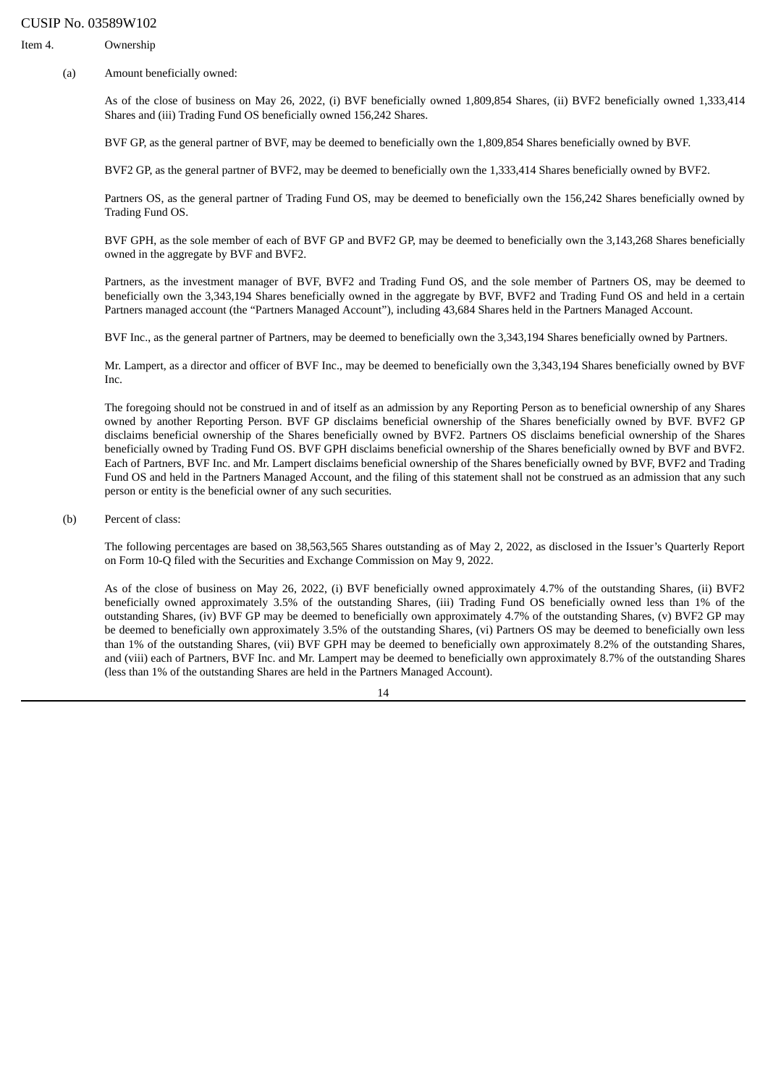Item 4. Ownership

(a) Amount beneficially owned:

As of the close of business on May 26, 2022, (i) BVF beneficially owned 1,809,854 Shares, (ii) BVF2 beneficially owned 1,333,414 Shares and (iii) Trading Fund OS beneficially owned 156,242 Shares.

BVF GP, as the general partner of BVF, may be deemed to beneficially own the 1,809,854 Shares beneficially owned by BVF.

BVF2 GP, as the general partner of BVF2, may be deemed to beneficially own the 1,333,414 Shares beneficially owned by BVF2.

Partners OS, as the general partner of Trading Fund OS, may be deemed to beneficially own the 156,242 Shares beneficially owned by Trading Fund OS.

BVF GPH, as the sole member of each of BVF GP and BVF2 GP, may be deemed to beneficially own the 3,143,268 Shares beneficially owned in the aggregate by BVF and BVF2.

Partners, as the investment manager of BVF, BVF2 and Trading Fund OS, and the sole member of Partners OS, may be deemed to beneficially own the 3,343,194 Shares beneficially owned in the aggregate by BVF, BVF2 and Trading Fund OS and held in a certain Partners managed account (the "Partners Managed Account"), including 43,684 Shares held in the Partners Managed Account.

BVF Inc., as the general partner of Partners, may be deemed to beneficially own the 3,343,194 Shares beneficially owned by Partners.

Mr. Lampert, as a director and officer of BVF Inc., may be deemed to beneficially own the 3,343,194 Shares beneficially owned by BVF Inc.

The foregoing should not be construed in and of itself as an admission by any Reporting Person as to beneficial ownership of any Shares owned by another Reporting Person. BVF GP disclaims beneficial ownership of the Shares beneficially owned by BVF. BVF2 GP disclaims beneficial ownership of the Shares beneficially owned by BVF2. Partners OS disclaims beneficial ownership of the Shares beneficially owned by Trading Fund OS. BVF GPH disclaims beneficial ownership of the Shares beneficially owned by BVF and BVF2. Each of Partners, BVF Inc. and Mr. Lampert disclaims beneficial ownership of the Shares beneficially owned by BVF, BVF2 and Trading Fund OS and held in the Partners Managed Account, and the filing of this statement shall not be construed as an admission that any such person or entity is the beneficial owner of any such securities.

(b) Percent of class:

The following percentages are based on 38,563,565 Shares outstanding as of May 2, 2022, as disclosed in the Issuer's Quarterly Report on Form 10-Q filed with the Securities and Exchange Commission on May 9, 2022.

As of the close of business on May 26, 2022, (i) BVF beneficially owned approximately 4.7% of the outstanding Shares, (ii) BVF2 beneficially owned approximately 3.5% of the outstanding Shares, (iii) Trading Fund OS beneficially owned less than 1% of the outstanding Shares, (iv) BVF GP may be deemed to beneficially own approximately 4.7% of the outstanding Shares, (v) BVF2 GP may be deemed to beneficially own approximately 3.5% of the outstanding Shares, (vi) Partners OS may be deemed to beneficially own less than 1% of the outstanding Shares, (vii) BVF GPH may be deemed to beneficially own approximately 8.2% of the outstanding Shares, and (viii) each of Partners, BVF Inc. and Mr. Lampert may be deemed to beneficially own approximately 8.7% of the outstanding Shares (less than 1% of the outstanding Shares are held in the Partners Managed Account).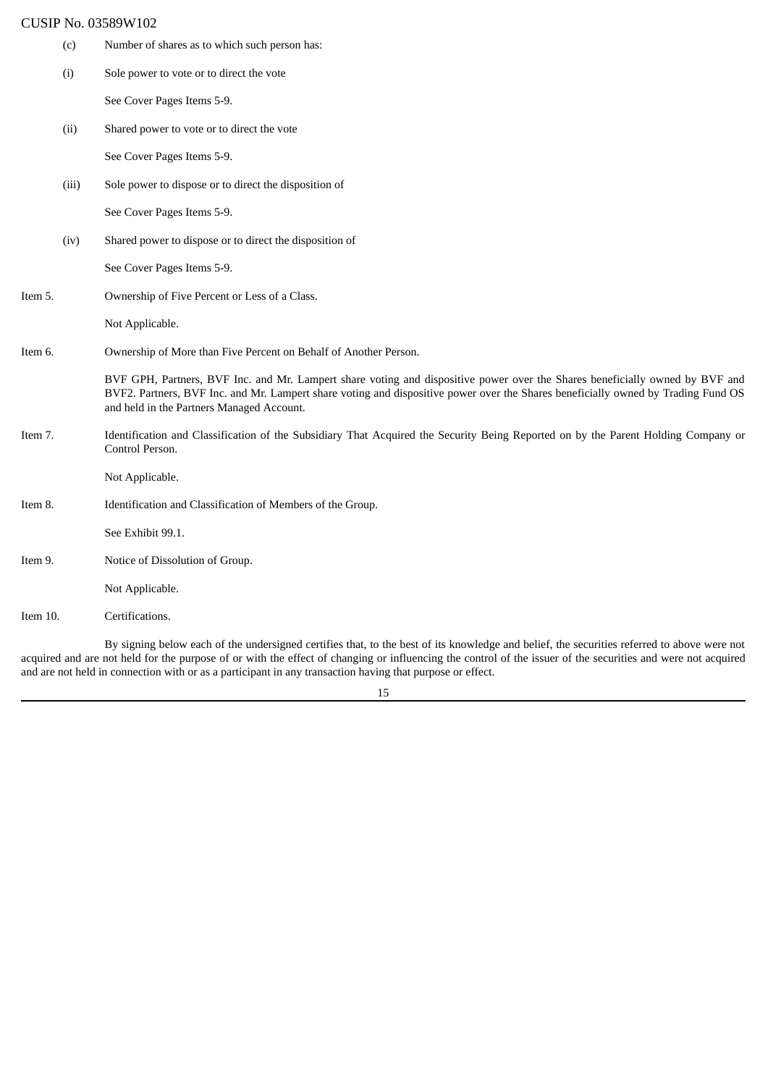(c) Number of shares as to which such person has: (i) Sole power to vote or to direct the vote See Cover Pages Items 5-9. (ii) Shared power to vote or to direct the vote See Cover Pages Items 5-9. (iii) Sole power to dispose or to direct the disposition of See Cover Pages Items 5-9. (iv) Shared power to dispose or to direct the disposition of See Cover Pages Items 5-9. Item 5. Ownership of Five Percent or Less of a Class. Not Applicable. Item 6. Ownership of More than Five Percent on Behalf of Another Person. BVF GPH, Partners, BVF Inc. and Mr. Lampert share voting and dispositive power over the Shares beneficially owned by BVF and BVF2. Partners, BVF Inc. and Mr. Lampert share voting and dispositive power over the Shares beneficially owned by Trading Fund OS and held in the Partners Managed Account. Item 7. Identification and Classification of the Subsidiary That Acquired the Security Being Reported on by the Parent Holding Company or Control Person. Not Applicable. Item 8. Identification and Classification of Members of the Group. See Exhibit 99.1. Item 9. Notice of Dissolution of Group. Not Applicable. Item 10. Certifications.

By signing below each of the undersigned certifies that, to the best of its knowledge and belief, the securities referred to above were not acquired and are not held for the purpose of or with the effect of changing or influencing the control of the issuer of the securities and were not acquired and are not held in connection with or as a participant in any transaction having that purpose or effect.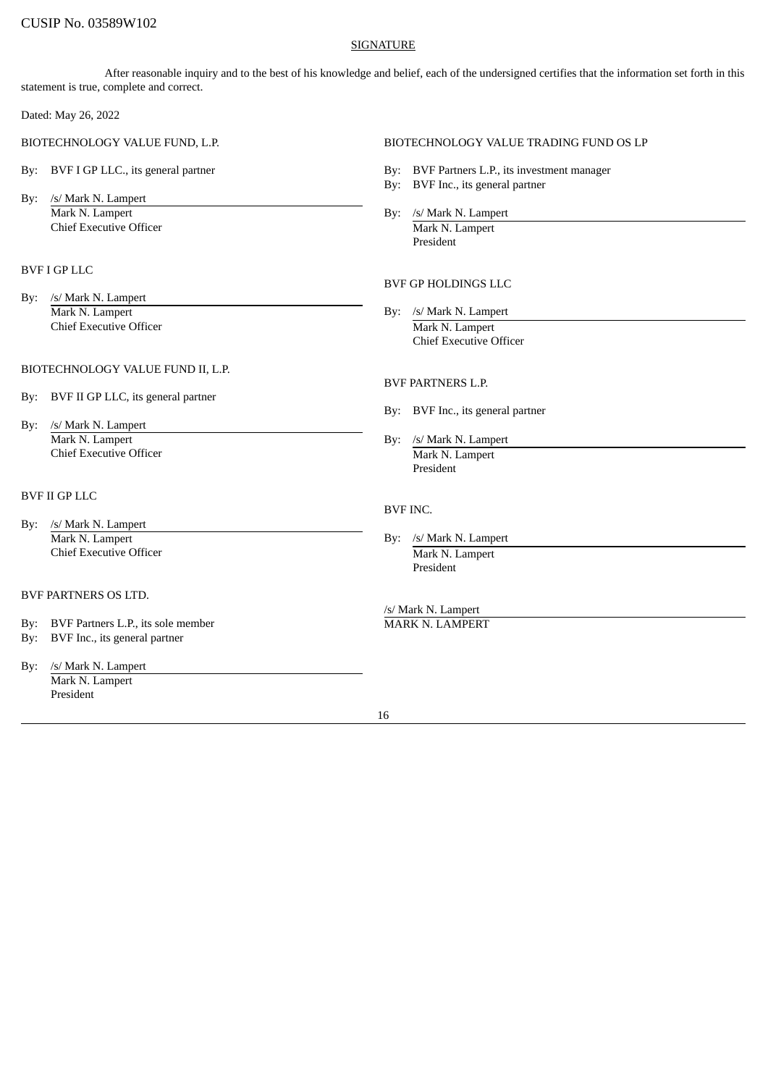## SIGNATURE

After reasonable inquiry and to the best of his knowledge and belief, each of the undersigned certifies that the information set forth in this statement is true, complete and correct.

Dated: May 26, 2022

- 
- By: /s/ Mark N. Lampert Mark N. Lampert By: /s/ Mark N. Lampert By: /s/ Mark N. Lampert **Chief Executive Officer Chief Executive Officer Chief Executive Officer Chief Executive Officer Chief Archives And Archives Archives Archives Archives Archives Archives Archives Archives Archives Archives Archives Archive**

## BVF I GP LLC

By: /s/ Mark N. Lampert Mark N. Lampert By: /s/ Mark N. Lampert **Chief Executive Officer** Mark N. Lampert

## BIOTECHNOLOGY VALUE FUND II, L.P.

- By: BVF II GP LLC, its general partner
- By: /s/ Mark N. Lampert Mark N. Lampert By: /s/ Mark N. Lampert Chief Executive Officer **Mark N. Lampert** Mark N. Lampert

## BVF II GP LLC

- By: /s/ Mark N. Lampert Mark N. Lampert By: /s/ Mark N. Lampert By: /s/ Mark N. Lampert Chief Executive Officer **Mark N. Lampert** Mark N. Lampert
- BVF PARTNERS OS LTD.
- By: BVF Partners L.P., its sole member MARK N. LAMPERT
- By: BVF Inc., its general partner
- By: /s/ Mark N. Lampert Mark N. Lampert President

## BIOTECHNOLOGY VALUE FUND, L.P. BIOTECHNOLOGY VALUE TRADING FUND OS LP

- By: BVF I GP LLC., its general partner **By: BVF Partners L.P.**, its investment manager
	- By: BVF Inc., its general partner
	-

President

## BVF GP HOLDINGS LLC

Chief Executive Officer

## BVF PARTNERS L.P.

- By: BVF Inc., its general partner
- President

### BVF INC.

- - President

/s/ Mark N. Lampert